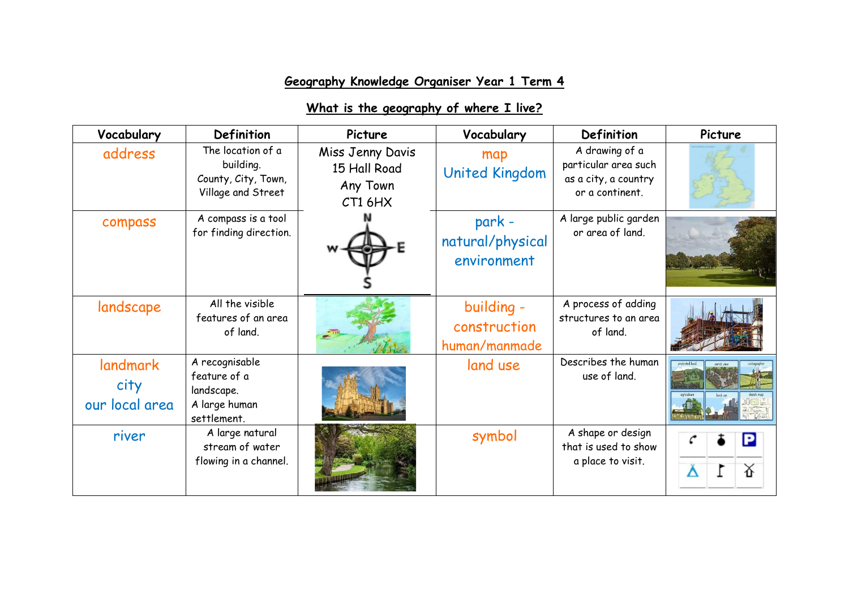## **Geography Knowledge Organiser Year 1 Term 4**

## **What is the geography of where I live?**

| Vocabulary                         | <b>Definition</b>                                                            | Picture                                                 | Vocabulary                                  | Definition                                                                        | Picture |
|------------------------------------|------------------------------------------------------------------------------|---------------------------------------------------------|---------------------------------------------|-----------------------------------------------------------------------------------|---------|
| address                            | The location of a<br>building.<br>County, City, Town,<br>Village and Street  | Miss Jenny Davis<br>15 Hall Road<br>Any Town<br>CT1 6HX | map<br><b>United Kingdom</b>                | A drawing of a<br>particular area such<br>as a city, a country<br>or a continent. |         |
| compass                            | A compass is a tool<br>for finding direction.                                |                                                         | park -<br>natural/physical<br>environment   | A large public garden<br>or area of land.                                         |         |
| landscape                          | All the visible<br>features of an area<br>of land.                           |                                                         | building -<br>construction<br>human/manmade | A process of adding<br>structures to an area<br>of land.                          |         |
| landmark<br>city<br>our local area | A recognisable<br>feature of a<br>landscape.<br>A large human<br>settlement. |                                                         | land use                                    | Describes the human<br>use of land.                                               |         |
| river                              | A large natural<br>stream of water<br>flowing in a channel.                  |                                                         | symbol                                      | A shape or design<br>that is used to show<br>a place to visit.                    | △       |